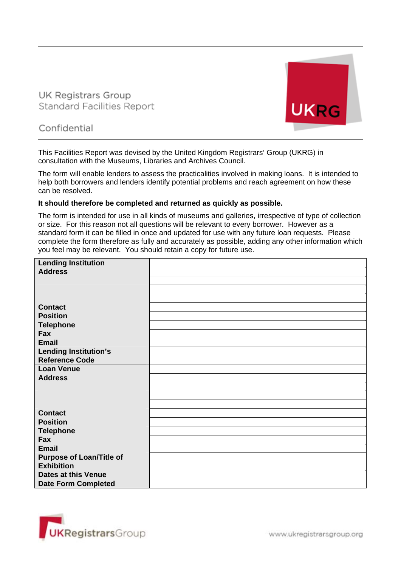**UK Registrars Group Standard Facilities Report** 



# Confidential

This Facilities Report was devised by the United Kingdom Registrars' Group (UKRG) in consultation with the Museums, Libraries and Archives Council.

The form will enable lenders to assess the practicalities involved in making loans. It is intended to help both borrowers and lenders identify potential problems and reach agreement on how these can be resolved.

#### **It should therefore be completed and returned as quickly as possible.**

The form is intended for use in all kinds of museums and galleries, irrespective of type of collection or size. For this reason not all questions will be relevant to every borrower. However as a standard form it can be filled in once and updated for use with any future loan requests. Please complete the form therefore as fully and accurately as possible, adding any other information which you feel may be relevant. You should retain a copy for future use.

| <b>Lending Institution</b>                               |  |
|----------------------------------------------------------|--|
| <b>Address</b>                                           |  |
|                                                          |  |
|                                                          |  |
|                                                          |  |
| <b>Contact</b>                                           |  |
| <b>Position</b>                                          |  |
| <b>Telephone</b>                                         |  |
| Fax                                                      |  |
| <b>Email</b>                                             |  |
| <b>Lending Institution's</b>                             |  |
| <b>Reference Code</b>                                    |  |
| <b>Loan Venue</b>                                        |  |
|                                                          |  |
| <b>Address</b>                                           |  |
|                                                          |  |
|                                                          |  |
|                                                          |  |
| <b>Contact</b>                                           |  |
| <b>Position</b>                                          |  |
| <b>Telephone</b>                                         |  |
| Fax                                                      |  |
| <b>Email</b>                                             |  |
| <b>Purpose of Loan/Title of</b>                          |  |
| <b>Exhibition</b>                                        |  |
| <b>Dates at this Venue</b><br><b>Date Form Completed</b> |  |

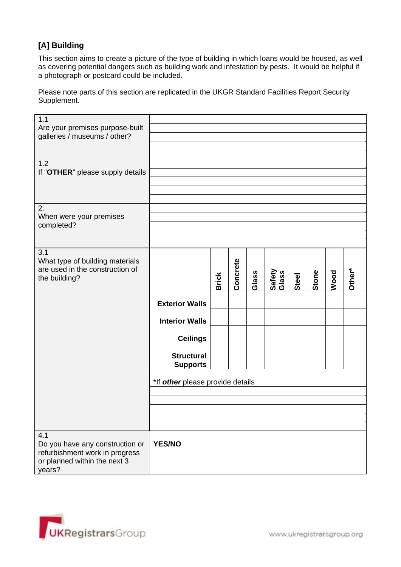### **[A] Building**

This section aims to create a picture of the type of building in which loans would be housed, as well as covering potential dangers such as building work and infestation by pests. It would be helpful if a photograph or postcard could be included.

Please note parts of this section are replicated in the UKGR Standard Facilities Report Security Supplement.

| 1.1<br>Are your premises purpose-built<br>galleries / museums / other?                                             |                                      |              |          |       |                 |       |       |      |        |
|--------------------------------------------------------------------------------------------------------------------|--------------------------------------|--------------|----------|-------|-----------------|-------|-------|------|--------|
|                                                                                                                    |                                      |              |          |       |                 |       |       |      |        |
| 1.2                                                                                                                |                                      |              |          |       |                 |       |       |      |        |
| If "OTHER" please supply details                                                                                   |                                      |              |          |       |                 |       |       |      |        |
|                                                                                                                    |                                      |              |          |       |                 |       |       |      |        |
|                                                                                                                    |                                      |              |          |       |                 |       |       |      |        |
| 2.<br>When were your premises<br>completed?                                                                        |                                      |              |          |       |                 |       |       |      |        |
|                                                                                                                    |                                      |              |          |       |                 |       |       |      |        |
|                                                                                                                    |                                      |              |          |       |                 |       |       |      |        |
| 3.1<br>What type of building materials<br>are used in the construction of<br>the building?                         |                                      | <b>Brick</b> | Concrete | Glass | Safety<br>Glass | Steel | Stone | Wood | Other* |
|                                                                                                                    |                                      |              |          |       |                 |       |       |      |        |
|                                                                                                                    | <b>Exterior Walls</b>                |              |          |       |                 |       |       |      |        |
|                                                                                                                    | <b>Interior Walls</b>                |              |          |       |                 |       |       |      |        |
|                                                                                                                    | <b>Ceilings</b>                      |              |          |       |                 |       |       |      |        |
|                                                                                                                    | <b>Structural</b><br><b>Supports</b> |              |          |       |                 |       |       |      |        |
|                                                                                                                    | *If other please provide details     |              |          |       |                 |       |       |      |        |
|                                                                                                                    |                                      |              |          |       |                 |       |       |      |        |
|                                                                                                                    |                                      |              |          |       |                 |       |       |      |        |
|                                                                                                                    |                                      |              |          |       |                 |       |       |      |        |
| 4.1<br>Do you have any construction or<br>refurbishment work in progress<br>or planned within the next 3<br>years? | <b>YES/NO</b>                        |              |          |       |                 |       |       |      |        |

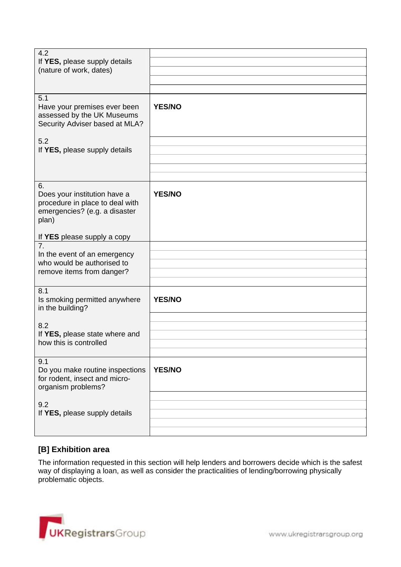| 4.2<br>If YES, please supply details<br>(nature of work, dates)                                                 |               |
|-----------------------------------------------------------------------------------------------------------------|---------------|
| 5.1<br>Have your premises ever been<br>assessed by the UK Museums<br>Security Adviser based at MLA?             | <b>YES/NO</b> |
| 5.2<br>If YES, please supply details                                                                            |               |
| 6.<br>Does your institution have a<br>procedure in place to deal with<br>emergencies? (e.g. a disaster<br>plan) | <b>YES/NO</b> |
| If YES please supply a copy                                                                                     |               |
| 7 <sub>1</sub><br>In the event of an emergency<br>who would be authorised to<br>remove items from danger?       |               |
| 8.1<br>Is smoking permitted anywhere<br>in the building?                                                        | <b>YES/NO</b> |
| 8.2<br>If YES, please state where and<br>how this is controlled                                                 |               |
| 9.1<br>Do you make routine inspections<br>for rodent, insect and micro-<br>organism problems?                   | <b>YES/NO</b> |
| 9.2<br>If YES, please supply details                                                                            |               |
|                                                                                                                 |               |

# **[B] Exhibition area**

The information requested in this section will help lenders and borrowers decide which is the safest way of displaying a loan, as well as consider the practicalities of lending/borrowing physically problematic objects.

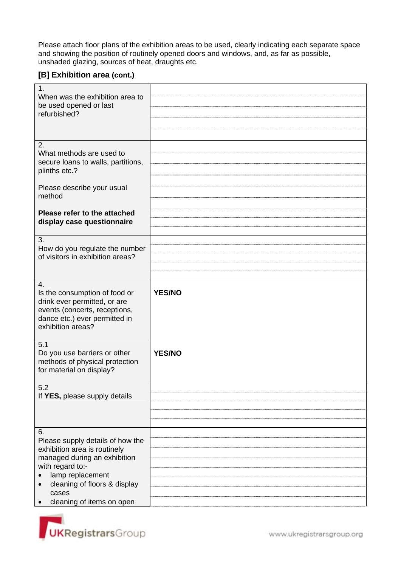Please attach floor plans of the exhibition areas to be used, clearly indicating each separate space and showing the position of routinely opened doors and windows, and, as far as possible, unshaded glazing, sources of heat, draughts etc.

#### **[B] Exhibition area (cont.)**

| $\mathbf{1}$ .<br>When was the exhibition area to<br>be used opened or last<br>refurbished?                                                                |               |
|------------------------------------------------------------------------------------------------------------------------------------------------------------|---------------|
|                                                                                                                                                            |               |
| 2.<br>What methods are used to<br>secure loans to walls, partitions,<br>plinths etc.?                                                                      |               |
| Please describe your usual<br>method                                                                                                                       |               |
| Please refer to the attached<br>display case questionnaire                                                                                                 |               |
|                                                                                                                                                            |               |
| 3.<br>How do you regulate the number<br>of visitors in exhibition areas?                                                                                   |               |
|                                                                                                                                                            |               |
| 4.<br>Is the consumption of food or<br>drink ever permitted, or are<br>events (concerts, receptions,<br>dance etc.) ever permitted in<br>exhibition areas? | <b>YES/NO</b> |
| 5.1<br>Do you use barriers or other<br>methods of physical protection<br>for material on display?                                                          | <b>YES/NO</b> |
| 5.2                                                                                                                                                        |               |
| If YES, please supply details                                                                                                                              |               |
|                                                                                                                                                            |               |
|                                                                                                                                                            |               |
|                                                                                                                                                            |               |
| 6.                                                                                                                                                         |               |
| Please supply details of how the<br>exhibition area is routinely                                                                                           |               |
| managed during an exhibition                                                                                                                               |               |
| with regard to:-                                                                                                                                           |               |
| lamp replacement                                                                                                                                           |               |
| cleaning of floors & display                                                                                                                               |               |
| cases                                                                                                                                                      |               |
| cleaning of items on open                                                                                                                                  |               |



www.ukregistrarsgroup.org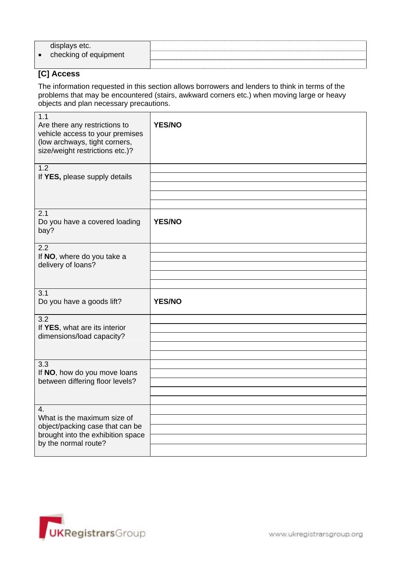|           | displays etc.         |  |
|-----------|-----------------------|--|
| $\bullet$ | checking of equipment |  |
|           |                       |  |

# **[C] Access**

The information requested in this section allows borrowers and lenders to think in terms of the problems that may be encountered (stairs, awkward corners etc.) when moving large or heavy objects and plan necessary precautions.

| 1.1<br>Are there any restrictions to<br>vehicle access to your premises<br>(low archways, tight corners,<br>size/weight restrictions etc.)? | <b>YES/NO</b> |
|---------------------------------------------------------------------------------------------------------------------------------------------|---------------|
| 1.2                                                                                                                                         |               |
| If YES, please supply details                                                                                                               |               |
|                                                                                                                                             |               |
|                                                                                                                                             |               |
| 2.1<br>Do you have a covered loading<br>bay?                                                                                                | <b>YES/NO</b> |
| 2.2<br>If NO, where do you take a                                                                                                           |               |
| delivery of loans?                                                                                                                          |               |
|                                                                                                                                             |               |
|                                                                                                                                             |               |
| 3.1<br>Do you have a goods lift?                                                                                                            | <b>YES/NO</b> |
|                                                                                                                                             |               |
| 3.2                                                                                                                                         |               |
| If YES, what are its interior                                                                                                               |               |
| dimensions/load capacity?                                                                                                                   |               |
|                                                                                                                                             |               |
|                                                                                                                                             |               |
| 3.3<br>If NO, how do you move loans                                                                                                         |               |
| between differing floor levels?                                                                                                             |               |
|                                                                                                                                             |               |
|                                                                                                                                             |               |
| 4.                                                                                                                                          |               |
| What is the maximum size of                                                                                                                 |               |
| object/packing case that can be                                                                                                             |               |
| brought into the exhibition space<br>by the normal route?                                                                                   |               |

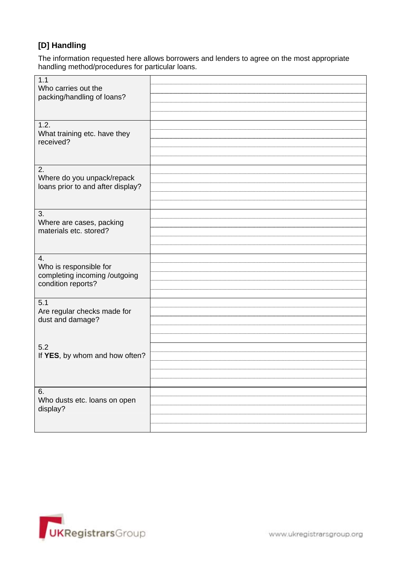## **[D] Handling**

The information requested here allows borrowers and lenders to agree on the most appropriate handling method/procedures for particular loans.

| 1.1<br>Who carries out the<br>packing/handling of loans?                            |  |
|-------------------------------------------------------------------------------------|--|
| 1.2.<br>What training etc. have they<br>received?                                   |  |
| 2.<br>Where do you unpack/repack<br>loans prior to and after display?               |  |
| 3.<br>Where are cases, packing<br>materials etc. stored?                            |  |
| 4.<br>Who is responsible for<br>completing incoming /outgoing<br>condition reports? |  |
| 5.1<br>Are regular checks made for<br>dust and damage?                              |  |
| 5.2<br>If YES, by whom and how often?                                               |  |
| 6.<br>Who dusts etc. loans on open<br>display?                                      |  |

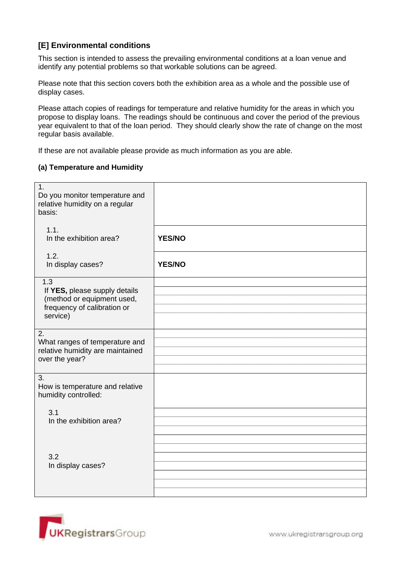#### **[E] Environmental conditions**

This section is intended to assess the prevailing environmental conditions at a loan venue and identify any potential problems so that workable solutions can be agreed.

Please note that this section covers both the exhibition area as a whole and the possible use of display cases.

Please attach copies of readings for temperature and relative humidity for the areas in which you propose to display loans. The readings should be continuous and cover the period of the previous year equivalent to that of the loan period. They should clearly show the rate of change on the most regular basis available.

If these are not available please provide as much information as you are able.

#### **(a) Temperature and Humidity**

| 1.<br>Do you monitor temperature and<br>relative humidity on a regular<br>basis:                              |               |
|---------------------------------------------------------------------------------------------------------------|---------------|
| 1.1.<br>In the exhibition area?                                                                               | <b>YES/NO</b> |
| 1.2.<br>In display cases?                                                                                     | <b>YES/NO</b> |
| 1.3<br>If YES, please supply details<br>(method or equipment used,<br>frequency of calibration or<br>service) |               |
| 2.<br>What ranges of temperature and<br>relative humidity are maintained<br>over the year?                    |               |
| 3.<br>How is temperature and relative<br>humidity controlled:                                                 |               |
| 3.1<br>In the exhibition area?                                                                                |               |
| 3.2<br>In display cases?                                                                                      |               |

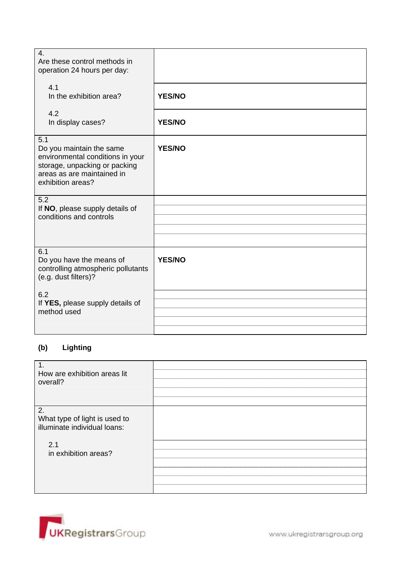| $\overline{4}$ .<br>Are these control methods in<br>operation 24 hours per day:                                                                         |               |
|---------------------------------------------------------------------------------------------------------------------------------------------------------|---------------|
| 4.1<br>In the exhibition area?                                                                                                                          | <b>YES/NO</b> |
| 4.2<br>In display cases?                                                                                                                                | <b>YES/NO</b> |
| 5.1<br>Do you maintain the same<br>environmental conditions in your<br>storage, unpacking or packing<br>areas as are maintained in<br>exhibition areas? | <b>YES/NO</b> |
| 5.2<br>If NO, please supply details of                                                                                                                  |               |
| conditions and controls                                                                                                                                 |               |
|                                                                                                                                                         |               |
| 6.1<br>Do you have the means of<br>controlling atmospheric pollutants<br>(e.g. dust filters)?                                                           | <b>YES/NO</b> |
| 6.2<br>If YES, please supply details of                                                                                                                 |               |
| method used                                                                                                                                             |               |
|                                                                                                                                                         |               |

# **(b) Lighting**

| $\mathbf 1$ .<br>How are exhibition areas lit<br>overall?           |  |
|---------------------------------------------------------------------|--|
| 2.<br>What type of light is used to<br>illuminate individual loans: |  |
| 2.1<br>in exhibition areas?                                         |  |

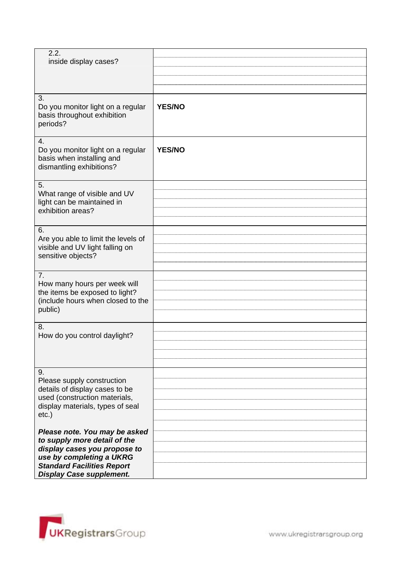| 2.2.<br>inside display cases?                                                                                                                                                                     |               |
|---------------------------------------------------------------------------------------------------------------------------------------------------------------------------------------------------|---------------|
|                                                                                                                                                                                                   |               |
| 3.<br>Do you monitor light on a regular<br>basis throughout exhibition<br>periods?                                                                                                                | <b>YES/NO</b> |
| 4.<br>Do you monitor light on a regular<br>basis when installing and<br>dismantling exhibitions?                                                                                                  | <b>YES/NO</b> |
| 5.<br>What range of visible and UV<br>light can be maintained in<br>exhibition areas?                                                                                                             |               |
| 6.<br>Are you able to limit the levels of<br>visible and UV light falling on<br>sensitive objects?                                                                                                |               |
| 7.<br>How many hours per week will<br>the items be exposed to light?<br>(include hours when closed to the<br>public)                                                                              |               |
| 8.<br>How do you control daylight?                                                                                                                                                                |               |
| 9.<br>Please supply construction<br>details of display cases to be<br>used (construction materials,<br>display materials, types of seal<br>$etc.$ )                                               |               |
| Please note. You may be asked<br>to supply more detail of the<br>display cases you propose to<br>use by completing a UKRG<br><b>Standard Facilities Report</b><br><b>Display Case supplement.</b> |               |